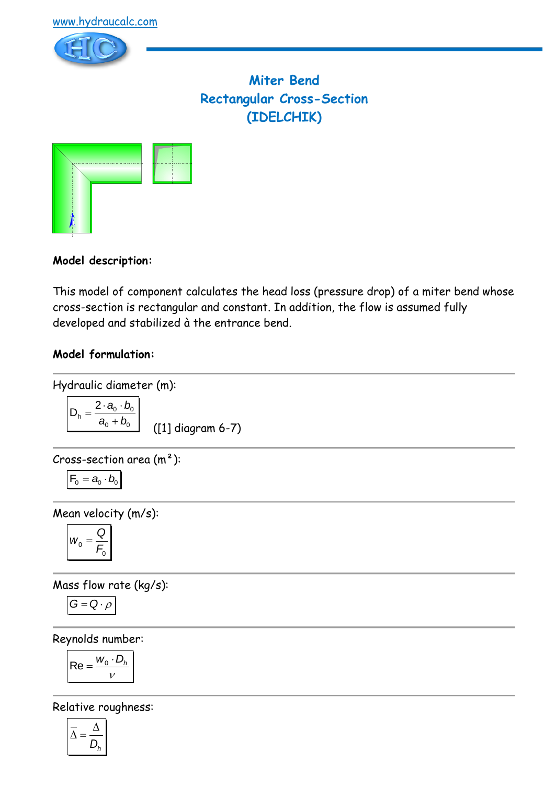

# **Miter Bend Rectangular Cross-Section (IDELCHIK)**



## **Model description:**

This model of component calculates the head loss (pressure drop) of a miter bend whose cross-section is rectangular and constant. In addition, the flow is assumed fully developed and stabilized à the entrance bend.

### **Model formulation:**

Hydraulic diameter (m):  
\n
$$
D_h = \frac{2 \cdot a_0 \cdot b_0}{a_0 + b_0}
$$
\n(11) diagram 6-7)

Cross-section area 
$$
(m^2)
$$
:

$$
\boxed{\textbf{F}_0 = \textbf{a}_0 \cdot \textbf{b}_0}
$$

Mean velocity (m/s):

$$
W_0=\frac{Q}{F_0}
$$

Mass flow rate (kg/s):

$$
G=Q\cdot \rho
$$

Reynolds number:

$$
\mathsf{Re} = \frac{w_0 \cdot D_h}{v}
$$

Relative roughness:

$$
\overline{\Delta} = \frac{\Delta}{D_h}
$$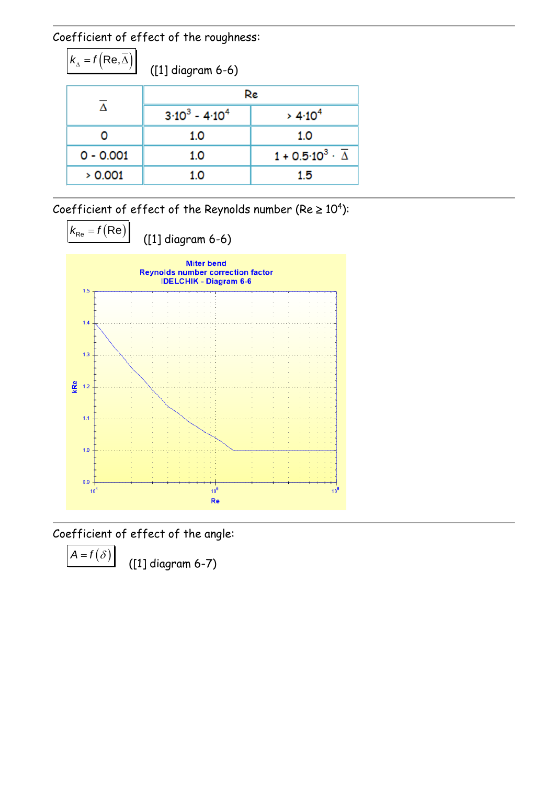Coefficient of effect of the roughness:

 $k_{\Delta} = f(\overline{\text{Re}, \overline{\Delta}})$ 

([1] diagram 6-6)

|             | Re                |                                              |
|-------------|-------------------|----------------------------------------------|
|             | $3.10^3 - 4.10^4$ | > 4.10 <sup>4</sup>                          |
|             | 1.0               | 1.0                                          |
| $0 - 0.001$ | 1.0               | $1 + 0.5 \cdot 10^3 \cdot \overline{\Delta}$ |
| > 0.001     | 1.0               | 1.5                                          |

Coefficient of effect of the Reynolds number (Re  $\geq 10^4$ ):



Coefficient of effect of the angle:

 $A = f(\delta)$ 

([1] diagram 6-7)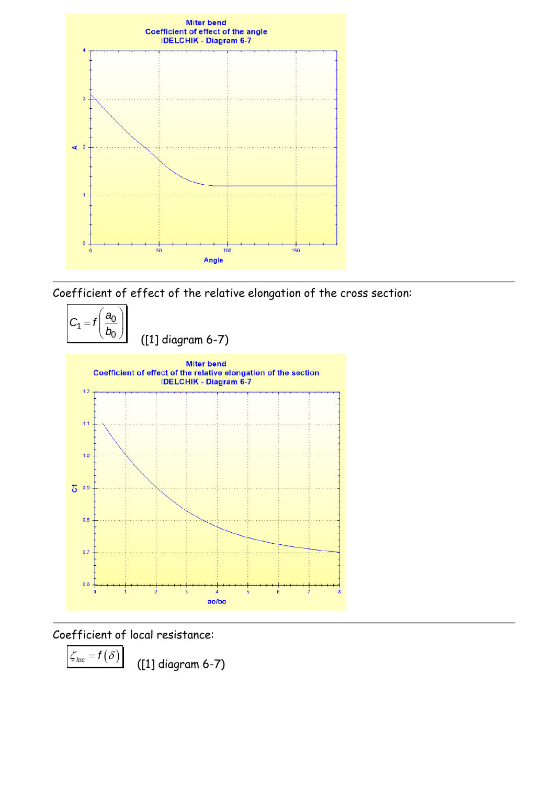

Coefficient of effect of the relative elongation of the cross section:



Coefficient of local resistance:

 $\zeta_{loc} = f(\delta)$ 

([1] diagram 6-7)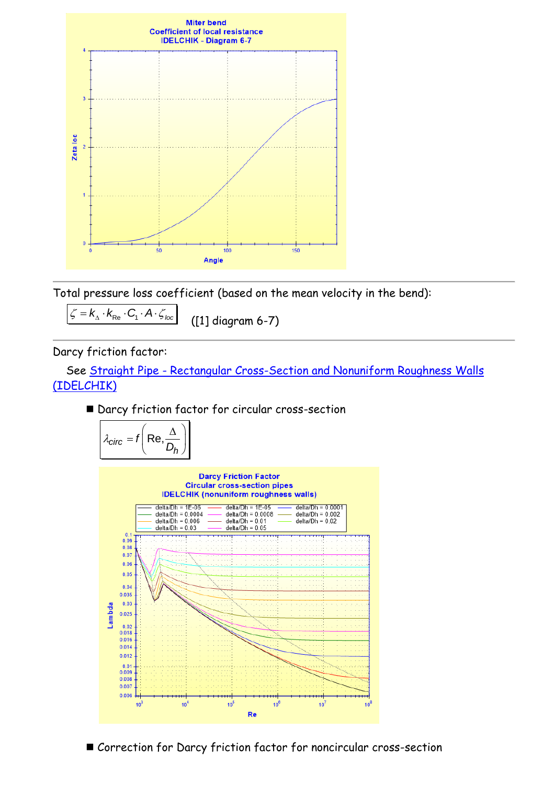

Total pressure loss coefficient (based on the mean velocity in the bend):

 $\zeta = k_{\text{A}} \cdot k_{\text{Re}} \cdot C_{1} \cdot A \cdot \zeta_{\text{loc}}$ 

([1] diagram 6-7)

Darcy friction factor:

 See Straight Pipe - [Rectangular Cross-Section and Nonuniform Roughness Walls](file:///G:/HydrauCalc/Aide%20-%20CHM/Sources%20doc/Composants/Tuyau%20rectiligne/Tuyau%20rectiligne%20-%20Section%20rectangulaire/IDELCHIK%20(nonuniform%20roughness%20walls).htm)  [\(IDELCHIK\)](file:///G:/HydrauCalc/Aide%20-%20CHM/Sources%20doc/Composants/Tuyau%20rectiligne/Tuyau%20rectiligne%20-%20Section%20rectangulaire/IDELCHIK%20(nonuniform%20roughness%20walls).htm)

■ Darcy friction factor for circular cross-section

$$
\lambda_{\text{circ}} = f\left(\text{Re}, \frac{\Delta}{D_h}\right)
$$

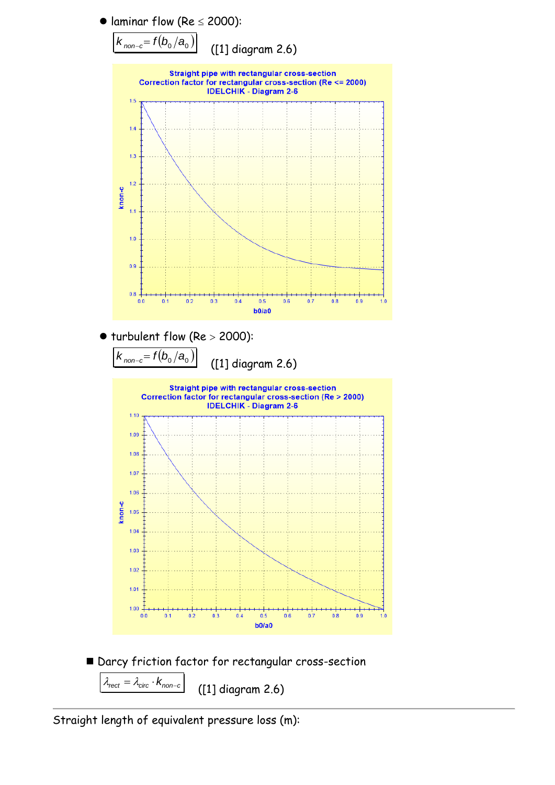



 $\lambda_{rect} = \lambda_{circ} \cdot k_{non-c}$ ([1] diagram 2.6)

Straight length of equivalent pressure loss (m):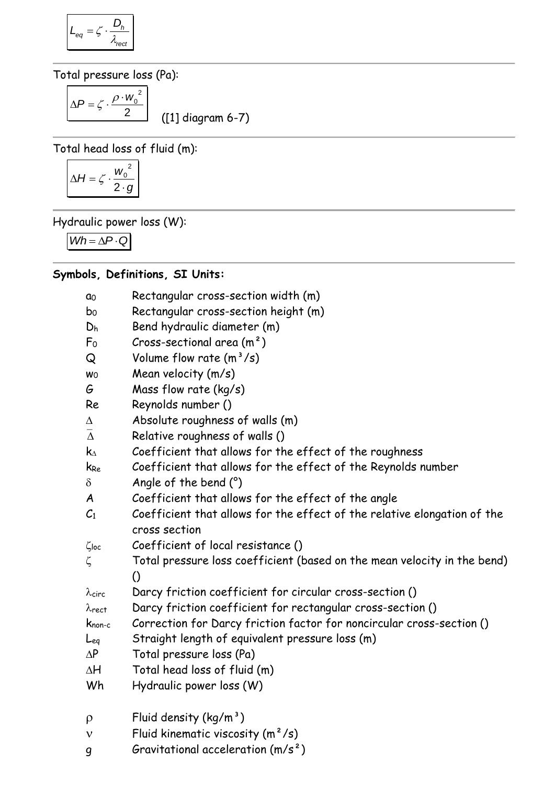$$
L_{eq} = \zeta \cdot \frac{D_h}{\lambda_{rect}}
$$

Total pressure loss (Pa):

 $\overline{2}$  $\Delta P = \zeta \cdot \frac{\rho \cdot w_0^2}{2}$ 

([1] diagram 6-7)

Total head loss of fluid (m):

$$
\Delta H = \zeta \cdot \frac{w_0^2}{2 \cdot g}
$$

Hydraulic power loss (W):

 $Wh = \Delta P \cdot Q$ 

## **Symbols, Definitions, SI Units:**

| αo                  | Rectangular cross-section width (m)                                      |
|---------------------|--------------------------------------------------------------------------|
| b <sub>0</sub>      | Rectangular cross-section height (m)                                     |
| Dh                  | Bend hydraulic diameter (m)                                              |
| F <sub>0</sub>      | Cross-sectional area $(m2)$                                              |
| Q                   | Volume flow rate $(m^3/s)$                                               |
| W <sub>0</sub>      | Mean velocity (m/s)                                                      |
| G                   | Mass flow rate (kg/s)                                                    |
| Re                  | Reynolds number ()                                                       |
| Δ                   | Absolute roughness of walls (m)                                          |
| $\overline{\Delta}$ | Relative roughness of walls ()                                           |
| $\mathsf{k}_\Delta$ | Coefficient that allows for the effect of the roughness                  |
| k <sub>Re</sub>     | Coefficient that allows for the effect of the Reynolds number            |
| $\delta$            | Angle of the bend $(°)$                                                  |
| A                   | Coefficient that allows for the effect of the angle                      |
| $C_{1}$             | Coefficient that allows for the effect of the relative elongation of the |
|                     | cross section                                                            |
| $\zeta$ loc         | Coefficient of local resistance ()                                       |
| ζ                   | Total pressure loss coefficient (based on the mean velocity in the bend) |
|                     | $\Omega$                                                                 |
| $\lambda$ circ      | Darcy friction coefficient for circular cross-section ()                 |
| $\lambda$ rect      | Darcy friction coefficient for rectangular cross-section ()              |
| $K_{\text{non-c}}$  | Correction for Darcy friction factor for noncircular cross-section ()    |
| Leg                 | Straight length of equivalent pressure loss (m)                          |
| $\Delta P$          | Total pressure loss (Pa)                                                 |
| ΔH                  | Total head loss of fluid (m)                                             |
| Wh                  | Hydraulic power loss (W)                                                 |
| $\rho$              | Fluid density $(kg/m^3)$                                                 |
| $\mathbf v$         | Fluid kinematic viscosity $(m^2/s)$                                      |
| 9                   | Gravitational acceleration $(m/s^2)$                                     |